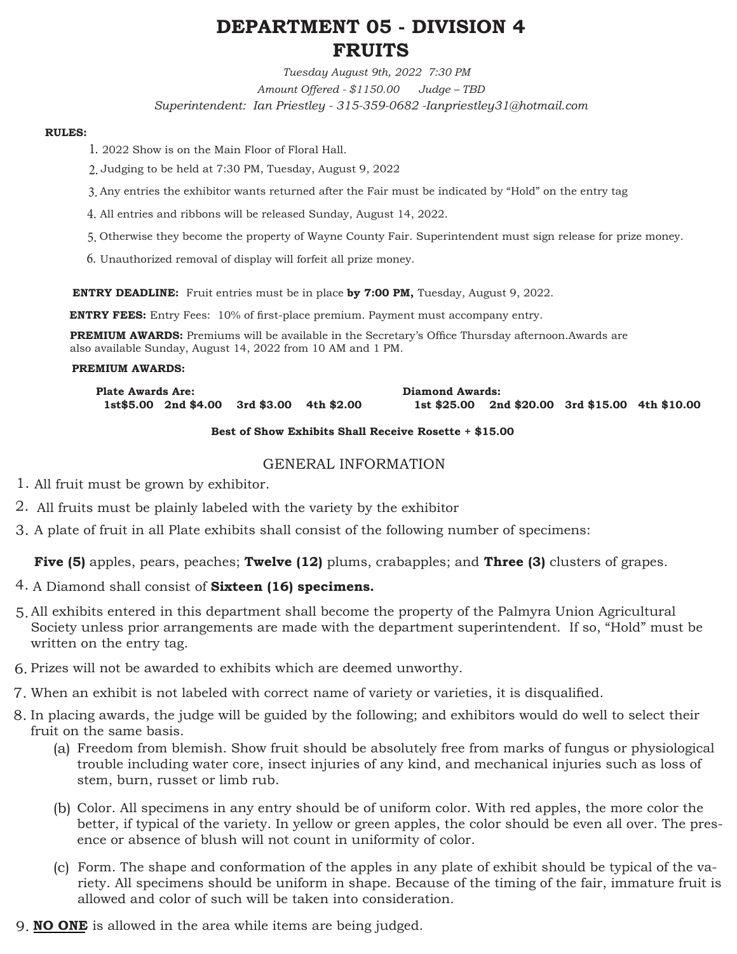# **DEPARTMENT 05 - DIVISION 4 FRUITS**

*Tuesday August 9th, 2022 7:30 PM Amount Offered - \$1150.00 Judge – TBD Superintendent: Ian Priestley - 315-359-0682 -Ianpriestley31@hotmail.com* 

#### **RULES:**

- 2022 Show is on the Main Floor of Floral Hall. 1.
- Judging to be held at 7:30 PM, Tuesday, August 9, 2022 2.
- Any entries the exhibitor wants returned after the Fair must be indicated by "Hold" on the entry tag 3.
- All entries and ribbons will be released Sunday, August 14, 2022. 4.
- Otherwise they become the property of Wayne County Fair. Superintendent must sign release for prize money. 5.
- $6.$  Unauthorized removal of display will forfeit all prize money.

**ENTRY DEADLINE:** Fruit entries must be in place **by 7:00 PM,** Tuesday, August 9, 2022.

**ENTRY FEES:** Entry Fees: 10% of first-place premium. Payment must accompany entry.

**PREMIUM AWARDS:** Premiums will be available in the Secretary's Office Thursday afternoon.Awards are also available Sunday, August 14, 2022 from 10 AM and 1 PM.

#### **PREMIUM AWARDS:**

**Plate Awards Are: 1st\$5.00 2nd \$4.00 3rd \$3.00 4th \$2.00 Diamond Awards: 1st \$25.00 2nd \$20.00 3rd \$15.00 4th \$10.00** 

#### **Best of Show Exhibits Shall Receive Rosette + \$15.00**

#### GENERAL INFORMATION

- All fruit must be grown by exhibitor. 1.
- All fruits must be plainly labeled with the variety by the exhibitor 2.
- A plate of fruit in all Plate exhibits shall consist of the following number of specimens: 3.

**Five (5)** apples, pears, peaches; **Twelve (12)** plums, crabapples; and **Three (3)** clusters of grapes.

- A Diamond shall consist of **Sixteen (16) specimens.**  4.
- All exhibits entered in this department shall become the property of the Palmyra Union Agricultural 5. Society unless prior arrangements are made with the department superintendent. If so, "Hold" must be written on the entry tag.
- Prizes will not be awarded to exhibits which are deemed unworthy. 6.
- When an exhibit is not labeled with correct name of variety or varieties, it is disqualified. 7.
- In placing awards, the judge will be guided by the following; and exhibitors would do well to select their 8. fruit on the same basis.
	- Freedom from blemish. Show fruit should be absolutely free from marks of fungus or physiological (a) trouble including water core, insect injuries of any kind, and mechanical injuries such as loss of stem, burn, russet or limb rub.
	- (b) Color. All specimens in any entry should be of uniform color. With red apples, the more color the better, if typical of the variety. In yellow or green apples, the color should be even all over. The presence or absence of blush will not count in uniformity of color.
	- (c) Form. The shape and conformation of the apples in any plate of exhibit should be typical of the variety. All specimens should be uniform in shape. Because of the timing of the fair, immature fruit is allowed and color of such will be taken into consideration.
- **NO ONE** is allowed in the area while items are being judged. 9.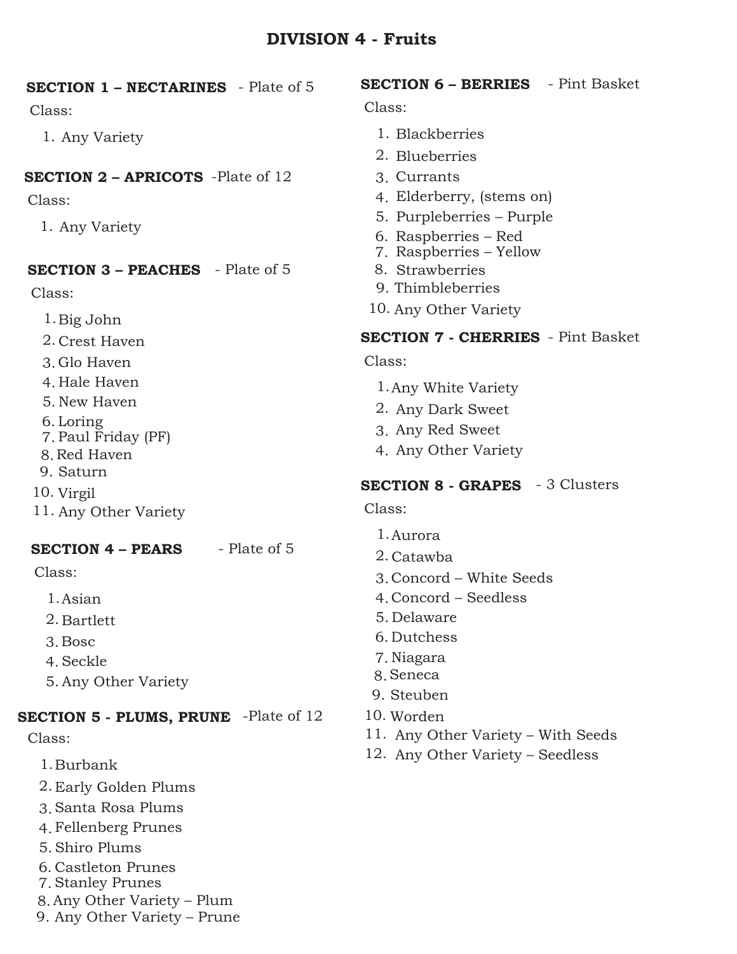## **DIVISION 4 - Fruits**

| <b>SECTION 1 - NECTARINES</b> - Plate of 5   | <b>SECTION 6 - BERRIES</b> - Pint Basket                                     |
|----------------------------------------------|------------------------------------------------------------------------------|
| Class:                                       | Class:                                                                       |
| 1. Any Variety                               | 1. Blackberries<br>2. Blueberries                                            |
| <b>SECTION 2 - APRICOTS</b> -Plate of 12     | 3. Currants                                                                  |
| Class:                                       | 4. Elderberry, (stems on)                                                    |
| 1. Any Variety                               | 5. Purpleberries – Purple<br>6. Raspberries – Red<br>7. Raspberries - Yellow |
| <b>SECTION 3 - PEACHES</b> - Plate of 5      | 8. Strawberries                                                              |
| Class:                                       | 9. Thimbleberries                                                            |
| 1. Big John                                  | 10. Any Other Variety                                                        |
| 2. Crest Haven                               | <b>SECTION 7 - CHERRIES</b> - Pint Basket                                    |
| 3. Glo Haven                                 | Class:                                                                       |
| 4. Hale Haven                                | 1. Any White Variety                                                         |
| 5. New Haven                                 | 2. Any Dark Sweet                                                            |
| 6. Loring                                    | 3. Any Red Sweet                                                             |
| 7. Paul Friday (PF)<br>8. Red Haven          | 4. Any Other Variety                                                         |
| 9. Saturn                                    |                                                                              |
| 10. Virgil                                   | <b>SECTION 8 - GRAPES</b> - 3 Clusters                                       |
| 11. Any Other Variety                        | Class:                                                                       |
|                                              | 1. Aurora                                                                    |
| - Plate of 5<br><b>SECTION 4 - PEARS</b>     | 2. Catawba                                                                   |
| Class:                                       | 3. Concord – White Seeds                                                     |
| 1. Asian                                     | 4. Concord – Seedless                                                        |
| 2. Bartlett                                  | 5. Delaware                                                                  |
| 3. Bosc                                      | 6. Dutchess                                                                  |
| 4. Seckle                                    | 7. Niagara<br>8. Seneca                                                      |
| 5. Any Other Variety                         | 9. Steuben                                                                   |
| <b>SECTION 5 - PLUMS, PRUNE</b> -Plate of 12 | 10. Worden                                                                   |
| Class:                                       | 11. Any Other Variety – With Seeds                                           |
| 1. Burbank                                   | 12. Any Other Variety – Seedless                                             |
| 2. Early Golden Plums                        |                                                                              |
| 3. Santa Rosa Plums                          |                                                                              |
| 4. Fellenberg Prunes                         |                                                                              |
| 5. Shiro Plums                               |                                                                              |

- 6. Castleton Prunes
- Stanley Prunes 7.
- Any Other Variety Plum 8.
- Any Other Variety Prune 9.